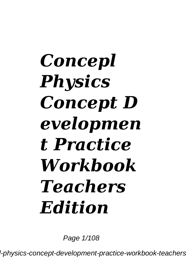## *Concepl Physics Concept D evelopmen t Practice Workbook Teachers Edition*

Page  $1/108$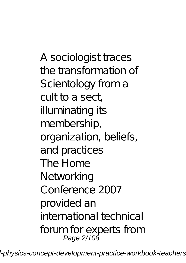A sociologist traces the transformation of Scientology from a cult to a sect, illuminating its membership, organization, beliefs, and practices The Home **Networking** Conference 2007 provided an international technical forum for experts from Page 2/108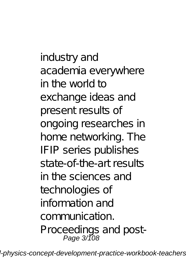industry and academia everywhere in the world to exchange ideas and present results of ongoing researches in home networking. The IFIP series publishes state-of-the-art results in the sciences and technologies of information and communication. Proceedings and post-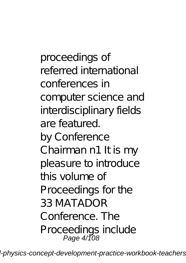proceedings of referred international conferences in computer science and interdisciplinary fields are featured. by Conference Chairman n1 It is my pleasure to introduce this volume of Proceedings for the 33 MATADOR Conference. The Proceedings include Page 4/108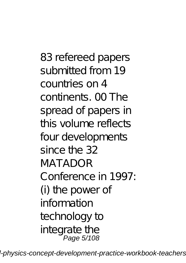83 refereed papers submitted from 19 countries on 4 continents. 00 The spread of papers in this volume reflects four developments since the 32 MATADOR Conference in 1997: (i) the power of information technology to integrate the Page 5/108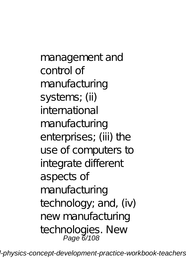management and control of manufacturing systems; (ii) international manufacturing enterprises; (iii) the use of computers to integrate different aspects of manufacturing technology; and, (iv) new manufacturing technologies. New Page 6/108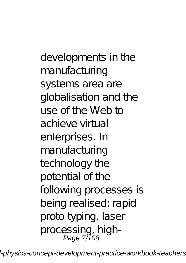developments in the manufacturing systems area are globalisation and the use of the Web to achieve virtual enterprises. In manufacturing technology the potential of the following processes is being realised: rapid proto typing, laser processing, high-<br>Page 7/108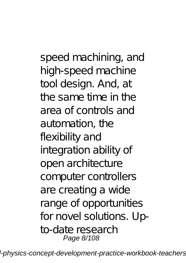speed machining, and high-speed machine tool design. And, at the same time in the area of controls and automation, the flexibility and integration ability of open architecture computer controllers are creating a wide range of opportunities for novel solutions. Upto-date research Page 8/108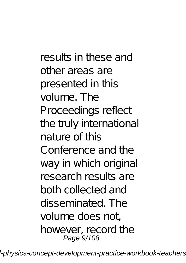results in these and other areas are presented in this volume. The Proceedings reflect the truly international nature of this Conference and the way in which original research results are both collected and disseminated. The volume does not, however, record the Page 9/108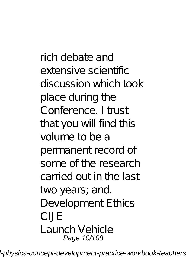rich debate and extensive scientific discussion which took place during the Conference. I trust that you will find this volume to be a permanent record of some of the research carried out in the last two years; and. Development Ethics CIJE Launch Vehicle Page 10/108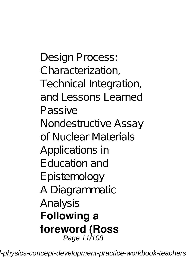Design Process: Characterization, Technical Integration, and Lessons Learned Passive Nondestructive Assay of Nuclear Materials Applications in Education and Epistemology A Diagrammatic Analysis **Following a foreword (Ross** Page 11/108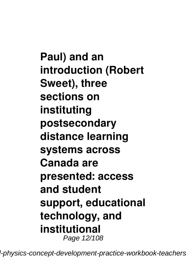**Paul) and an introduction (Robert Sweet), three sections on instituting postsecondary distance learning systems across Canada are presented: access and student support, educational technology, and institutional** Page 12/108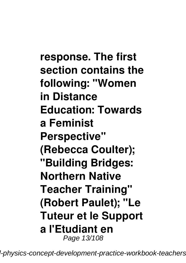**response. The first section contains the following: "Women in Distance Education: Towards a Feminist Perspective" (Rebecca Coulter); "Building Bridges: Northern Native Teacher Training" (Robert Paulet); "Le Tuteur et le Support a l'Etudiant en** Page 13/108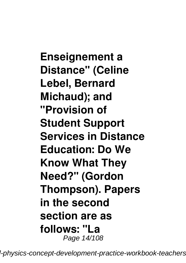**Enseignement a Distance" (Celine Lebel, Bernard Michaud); and "Provision of Student Support Services in Distance Education: Do We Know What They Need?" (Gordon Thompson). Papers in the second section are as follows: "La** Page 14/108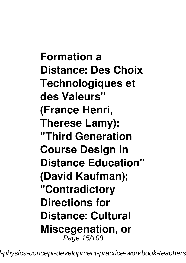**Formation a Distance: Des Choix Technologiques et des Valeurs" (France Henri, Therese Lamy); "Third Generation Course Design in Distance Education" (David Kaufman); "Contradictory Directions for Distance: Cultural Miscegenation, or** Page 15/108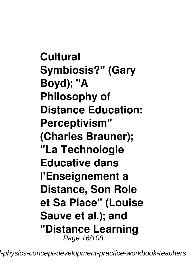**Cultural Symbiosis?" (Gary Boyd); "A Philosophy of Distance Education: Perceptivism" (Charles Brauner); "La Technologie Educative dans l'Enseignement a Distance, Son Role et Sa Place" (Louise Sauve et al.); and "Distance Learning** Page 16/108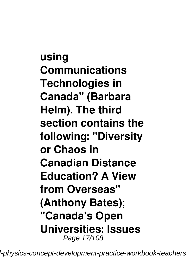**using Communications Technologies in Canada" (Barbara Helm). The third section contains the following: "Diversity or Chaos in Canadian Distance Education? A View from Overseas" (Anthony Bates); "Canada's Open Universities: Issues** Page 17/108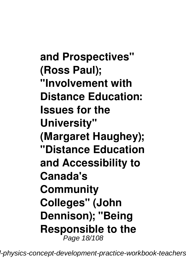**and Prospectives" (Ross Paul); "Involvement with Distance Education: Issues for the University" (Margaret Haughey); "Distance Education and Accessibility to Canada's Community Colleges" (John Dennison); "Being Responsible to the** Page 18/108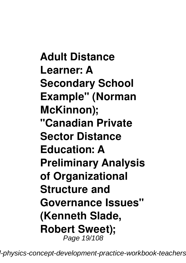**Adult Distance Learner: A Secondary School Example" (Norman McKinnon); "Canadian Private Sector Distance Education: A Preliminary Analysis of Organizational Structure and Governance Issues" (Kenneth Slade, Robert Sweet);** Page 19/108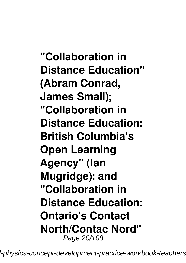**"Collaboration in Distance Education" (Abram Conrad, James Small); "Collaboration in Distance Education: British Columbia's Open Learning Agency" (Ian Mugridge); and "Collaboration in Distance Education: Ontario's Contact North/Contac Nord"** Page 20/108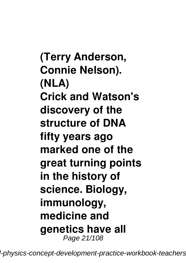**(Terry Anderson, Connie Nelson). (NLA) Crick and Watson's discovery of the structure of DNA fifty years ago marked one of the great turning points in the history of science. Biology, immunology, medicine and genetics have all** Page 21/108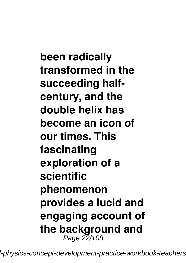**been radically transformed in the succeeding halfcentury, and the double helix has become an icon of our times. This fascinating exploration of a scientific phenomenon provides a lucid and engaging account of the background and** Page 22/108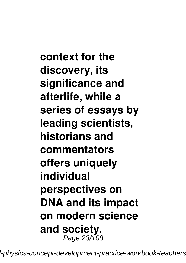**context for the discovery, its significance and afterlife, while a series of essays by leading scientists, historians and commentators offers uniquely individual perspectives on DNA and its impact on modern science and society.** Page 23/108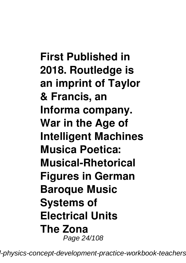**First Published in 2018. Routledge is an imprint of Taylor & Francis, an Informa company. War in the Age of Intelligent Machines Musica Poetica: Musical-Rhetorical Figures in German Baroque Music Systems of Electrical Units The Zona** Page 24/108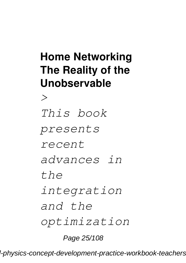## **Home Networking The Reality of the Unobservable**

*> This book presents recent advances in the integration and the optimization* Page 25/108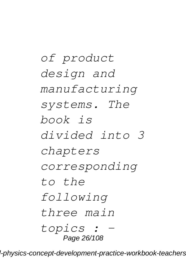*of product design and manufacturing systems. The book is divided into 3 chapters corresponding to the following three main topics : -* Page 26/108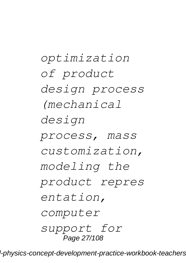*optimization of product design process (mechanical design process, mass customization, modeling the product repres entation, computer support for* Page 27/108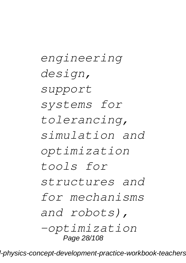*engineering design, support systems for tolerancing, simulation and optimization tools for structures and for mechanisms and robots), -optimization* Page 28/108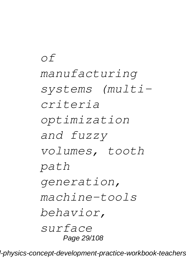*of manufacturing systems (multicriteria optimization and fuzzy volumes, tooth path generation, machine-tools behavior, surface* Page 29/108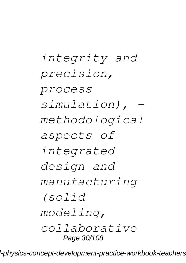*integrity and precision, process simulation), methodological aspects of integrated design and manufacturing (solid modeling, collaborative* Page 30/108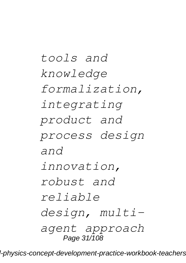*tools and knowledge formalization, integrating product and process design and innovation, robust and reliable design, multiagent approach* Page 31/108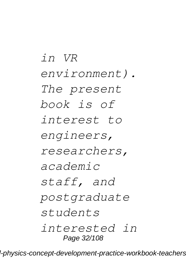*in VR environment). The present book is of interest to engineers, researchers, academic staff, and postgraduate students interested in* Page 32/108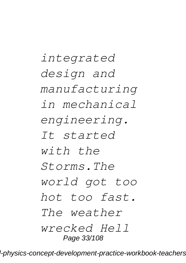*integrated design and manufacturing in mechanical engineering. It started with the Storms.The world got too hot too fast. The weather wrecked Hell* Page 33/108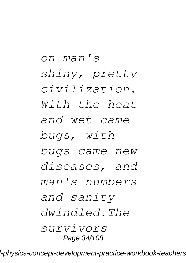*on man's shiny, pretty civilization. With the heat and wet came bugs, with bugs came new diseases, and man's numbers and sanity dwindled.The survivors* Page 34/108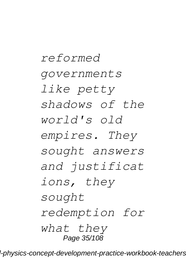*reformed governments like petty shadows of the world's old empires. They sought answers and justificat ions, they sought redemption for what they* Page 35/108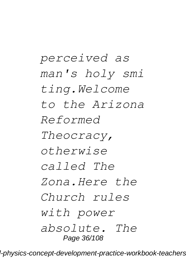*perceived as man's holy smi ting.Welcome to the Arizona Reformed Theocracy, otherwise called The Zona.Here the Church rules with power absolute. The* Page 36/108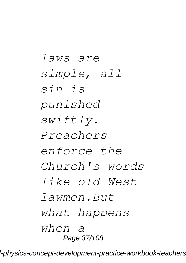*laws are simple, all sin is punished swiftly. Preachers enforce the Church's words like old West lawmen.But what happens when a* Page 37/108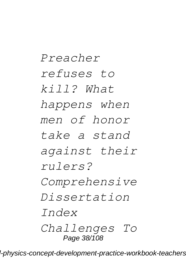*Preacher refuses to kill? What happens when men of honor take a stand against their rulers? Comprehensive Dissertation Index Challenges To* Page 38/108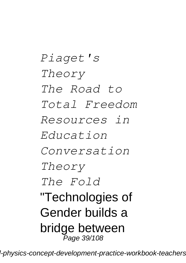*Piaget's Theory The Road to Total Freedom Resources in Education Conversation Theory The Fold* "Technologies of Gender builds a bridge between Page 39/108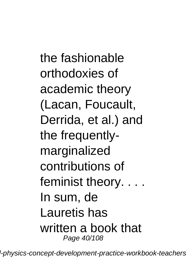the fashionable orthodoxies of academic theory (Lacan, Foucault, Derrida, et al.) and the frequentlymarginalized contributions of feminist theory. . . . In sum, de Lauretis has written a book that Page 40/108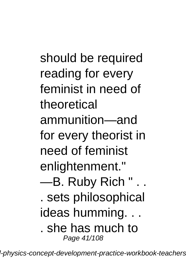should be required reading for every feminist in need of theoretical ammunition—and for every theorist in need of feminist enlightenment." —B. Ruby Rich " . . . sets philosophical ideas humming. . . . she has much to Page 41/108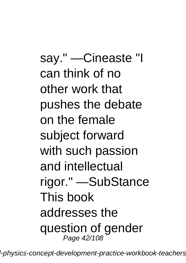say." —Cineaste "I can think of no other work that pushes the debate on the female subject forward with such passion and intellectual rigor." —SubStance This book addresses the question of gender Page 42/108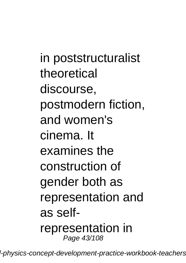in poststructuralist theoretical discourse, postmodern fiction, and women's cinema. It examines the construction of gender both as representation and as selfrepresentation in Page 43/108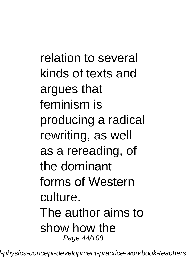relation to several kinds of texts and argues that feminism is producing a radical rewriting, as well as a rereading, of the dominant forms of Western culture. The author aims to show how the Page 44/108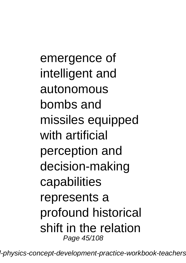emergence of intelligent and autonomous bombs and missiles equipped with artificial perception and decision-making capabilities represents a profound historical shift in the relation Page 45/108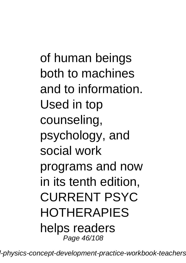of human beings both to machines and to information. Used in top counseling, psychology, and social work programs and now in its tenth edition, CURRENT PSYC HOTHERAPIES helps readers Page 46/108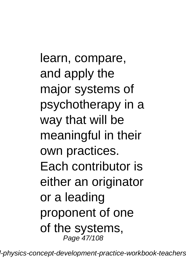learn, compare, and apply the major systems of psychotherapy in a way that will be meaningful in their own practices. Each contributor is either an originator or a leading proponent of one of the systems, Page 47/108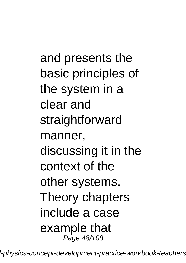and presents the basic principles of the system in a clear and straightforward manner, discussing it in the context of the other systems. Theory chapters include a case example that Page 48/108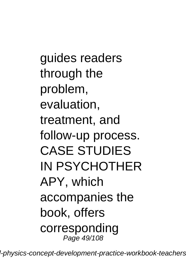guides readers through the problem, evaluation, treatment, and follow-up process. CASE STUDIES IN PSYCHOTHER APY, which accompanies the book, offers corresponding Page 49/108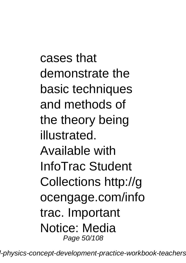cases that demonstrate the basic techniques and methods of the theory being illustrated. Available with InfoTrac Student Collections http://g ocengage.com/info trac. Important Notice: Media Page 50/108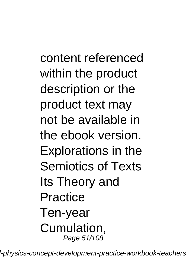content referenced within the product description or the product text may not be available in the ebook version. Explorations in the Semiotics of Texts Its Theory and **Practice** Ten-year Cumulation, Page 51/108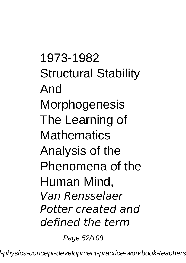1973-1982 Structural Stability And **Morphogenesis** The Learning of **Mathematics** Analysis of the Phenomena of the Human Mind, *Van Rensselaer Potter created and defined the term*

Page 52/108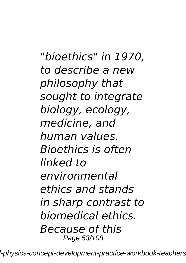*"bioethics" in 1970, to describe a new philosophy that sought to integrate biology, ecology, medicine, and human values. Bioethics is often linked to environmental ethics and stands in sharp contrast to biomedical ethics. Because of this* Page 53/108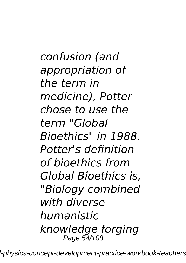*confusion (and appropriation of the term in medicine), Potter chose to use the term "Global Bioethics" in 1988. Potter's definition of bioethics from Global Bioethics is, "Biology combined with diverse humanistic knowledge forging* Page 54/108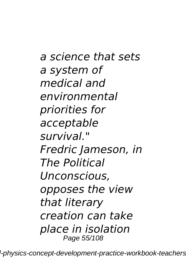*a science that sets a system of medical and environmental priorities for acceptable survival." Fredric Jameson, in The Political Unconscious, opposes the view that literary creation can take place in isolation* Page 55/108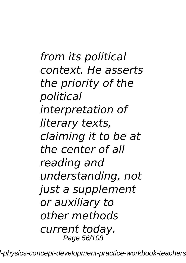*from its political context. He asserts the priority of the political interpretation of literary texts, claiming it to be at the center of all reading and understanding, not just a supplement or auxiliary to other methods current today.* Page 56/108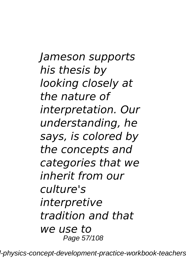*Jameson supports his thesis by looking closely at the nature of interpretation. Our understanding, he says, is colored by the concepts and categories that we inherit from our culture's interpretive tradition and that we use to* Page 57/108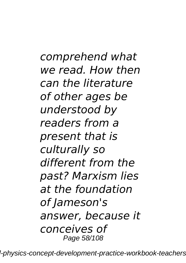*comprehend what we read. How then can the literature of other ages be understood by readers from a present that is culturally so different from the past? Marxism lies at the foundation of Jameson's answer, because it conceives of* Page 58/108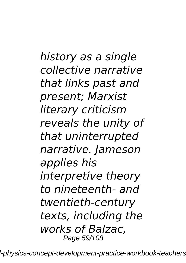*history as a single collective narrative that links past and present; Marxist literary criticism reveals the unity of that uninterrupted narrative. Jameson applies his interpretive theory to nineteenth- and twentieth-century texts, including the works of Balzac,* Page 59/108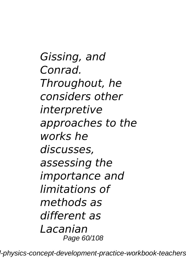*Gissing, and Conrad. Throughout, he considers other interpretive approaches to the works he discusses, assessing the importance and limitations of methods as different as Lacanian* Page 60/108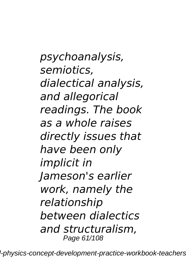*psychoanalysis, semiotics, dialectical analysis, and allegorical readings. The book as a whole raises directly issues that have been only implicit in Jameson's earlier work, namely the relationship between dialectics and structuralism,* Page 61/108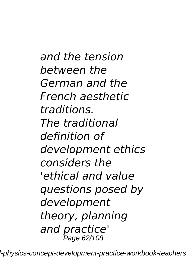*and the tension between the German and the French aesthetic traditions. The traditional definition of development ethics considers the 'ethical and value questions posed by development theory, planning and practice'* **P**age 62/108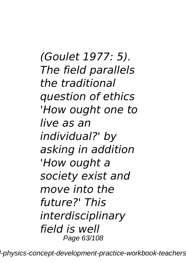*(Goulet 1977: 5). The field parallels the traditional question of ethics 'How ought one to live as an individual?' by asking in addition 'How ought a society exist and move into the future?' This interdisciplinary field is well* Page 63/108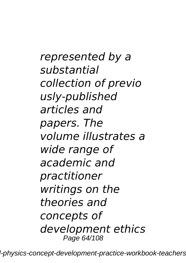*represented by a substantial collection of previo usly-published articles and papers. The volume illustrates a wide range of academic and practitioner writings on the theories and concepts of development ethics* Page 64/108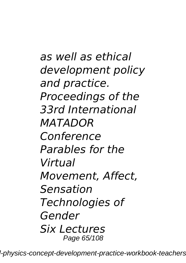*as well as ethical development policy and practice. Proceedings of the 33rd International MATADOR Conference Parables for the Virtual Movement, Affect, Sensation Technologies of Gender Six Lectures* Page 65/108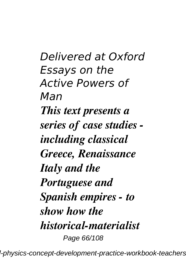*Delivered at Oxford Essays on the Active Powers of Man This text presents a series of case studies including classical Greece, Renaissance Italy and the Portuguese and Spanish empires - to show how the historical-materialist* Page 66/108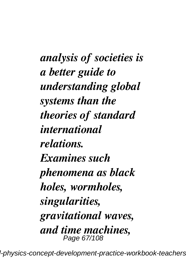*analysis of societies is a better guide to understanding global systems than the theories of standard international relations. Examines such phenomena as black holes, wormholes, singularities, gravitational waves, and time machines,* Page 67/108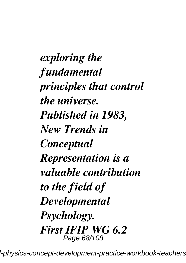*exploring the fundamental principles that control the universe. Published in 1983, New Trends in Conceptual Representation is a valuable contribution to the field of Developmental Psychology. First IFIP WG 6.2* Page 68/108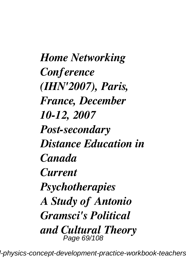*Home Networking Conference (IHN'2007), Paris, France, December 10-12, 2007 Post-secondary Distance Education in Canada Current Psychotherapies A Study of Antonio Gramsci's Political and Cultural Theory* Page 69/108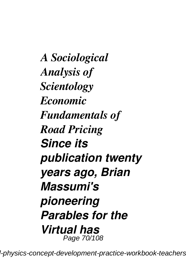*A Sociological Analysis of Scientology Economic Fundamentals of Road Pricing Since its publication twenty years ago, Brian Massumi's pioneering Parables for the Virtual has* Page 70/108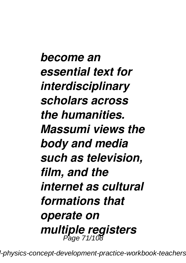*become an essential text for interdisciplinary scholars across the humanities. Massumi views the body and media such as television, film, and the internet as cultural formations that operate on multiple registers* Page 71/108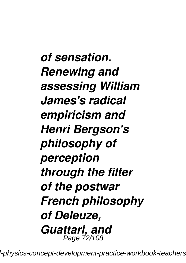*of sensation. Renewing and assessing William James's radical empiricism and Henri Bergson's philosophy of perception through the filter of the postwar French philosophy of Deleuze, Guattari, and* Page 72/108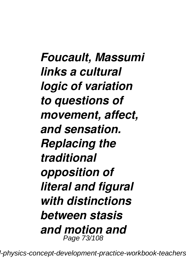*Foucault, Massumi links a cultural logic of variation to questions of movement, affect, and sensation. Replacing the traditional opposition of literal and figural with distinctions between stasis and motion and* Page 73/108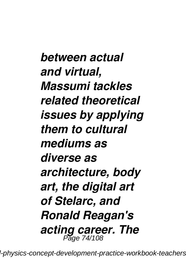*between actual and virtual, Massumi tackles related theoretical issues by applying them to cultural mediums as diverse as architecture, body art, the digital art of Stelarc, and Ronald Reagan's acting career. The* Page 74/108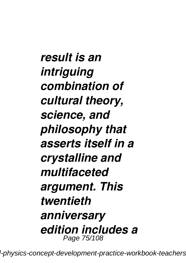*result is an intriguing combination of cultural theory, science, and philosophy that asserts itself in a crystalline and multifaceted argument. This twentieth anniversary edition includes a* Page 75/108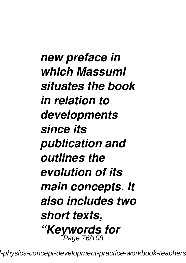*new preface in which Massumi situates the book in relation to developments since its publication and outlines the evolution of its main concepts. It also includes two short texts, "Keywords for* Page 76/108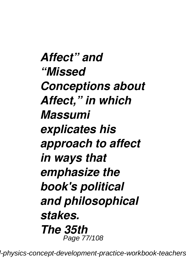*Affect" and "Missed Conceptions about Affect," in which Massumi explicates his approach to affect in ways that emphasize the book's political and philosophical stakes. The 35th* Page 77/108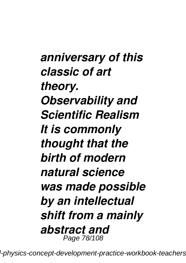*anniversary of this classic of art theory. Observability and Scientific Realism It is commonly thought that the birth of modern natural science was made possible by an intellectual shift from a mainly abstract and* Page 78/108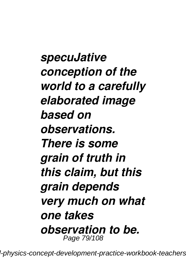*specuJative conception of the world to a carefully elaborated image based on observations. There is some grain of truth in this claim, but this grain depends very much on what one takes observation to be.* Page 79/108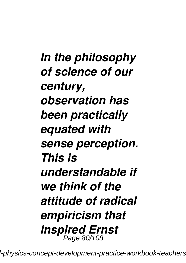*In the philosophy of science of our century, observation has been practically equated with sense perception. This is understandable if we think of the attitude of radical empiricism that inspired Ernst* Page 80/108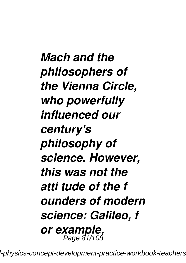*Mach and the philosophers of the Vienna Circle, who powerfully influenced our century's philosophy of science. However, this was not the atti tude of the f ounders of modern science: Galileo, f or example,* Page 81/108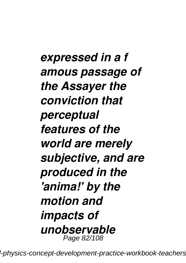*expressed in a f amous passage of the Assayer the conviction that perceptual features of the world are merely subjective, and are produced in the 'anima!' by the motion and impacts of unobservable* Page 82/108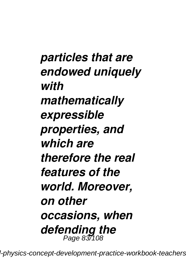*particles that are endowed uniquely with mathematically expressible properties, and which are therefore the real features of the world. Moreover, on other occasions, when defending the* Page 83/108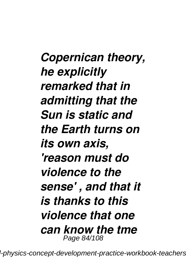*Copernican theory, he explicitly remarked that in admitting that the Sun is static and the Earth turns on its own axis, 'reason must do violence to the sense' , and that it is thanks to this violence that one can know the tme* Page 84/108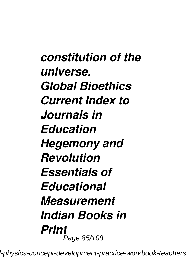*constitution of the universe. Global Bioethics Current Index to Journals in Education Hegemony and Revolution Essentials of Educational Measurement Indian Books in Print* Page 85/108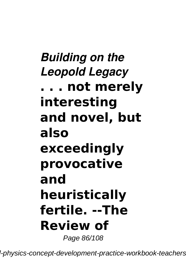# *Building on the Leopold Legacy* **. . . not merely interesting and novel, but also exceedingly provocative and heuristically fertile. --The Review of**

Page 86/108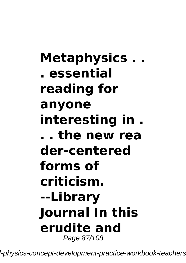# **Metaphysics . . . essential reading for anyone interesting in . . . the new rea der-centered forms of criticism. --Library Journal In this erudite and** Page 87/108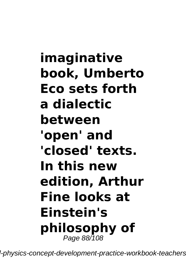# **imaginative book, Umberto Eco sets forth a dialectic between 'open' and 'closed' texts. In this new edition, Arthur Fine looks at Einstein's philosophy of** Page 88/108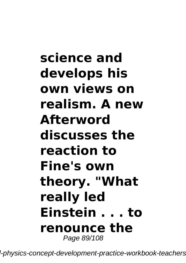# **science and develops his own views on realism. A new Afterword discusses the reaction to Fine's own theory. "What really led Einstein . . . to renounce the** Page 89/108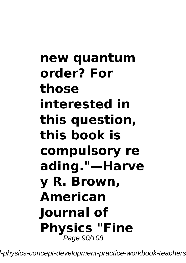# **new quantum order? For those interested in this question, this book is compulsory re ading."—Harve y R. Brown, American Journal of Physics "Fine** Page 90/108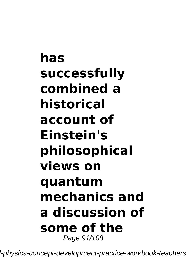# **has successfully combined a historical account of Einstein's philosophical views on quantum mechanics and a discussion of some of the** Page 91/108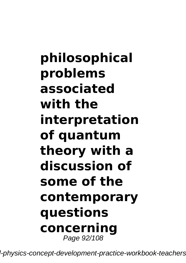**philosophical problems associated with the interpretation of quantum theory with a discussion of some of the contemporary questions concerning** Page 92/108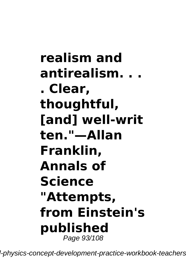**realism and antirealism. . . . Clear, thoughtful, [and] well-writ ten."—Allan Franklin, Annals of Science "Attempts, from Einstein's published** Page 93/108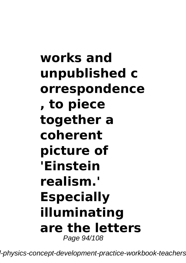# **works and unpublished c orrespondence , to piece together a coherent picture of 'Einstein realism.' Especially illuminating are the letters** Page 94/108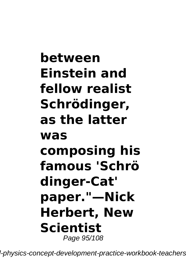# **between Einstein and fellow realist Schrödinger, as the latter was composing his famous 'Schrö dinger-Cat' paper."—Nick Herbert, New Scientist** Page 95/108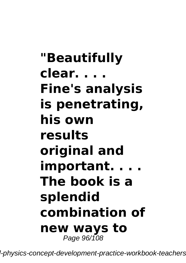# **"Beautifully clear. . . . Fine's analysis is penetrating, his own results original and important. . . . The book is a splendid combination of new ways to** Page 96/108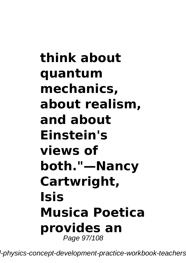# **think about quantum mechanics, about realism, and about Einstein's views of both."—Nancy Cartwright, Isis Musica Poetica provides an** Page 97/108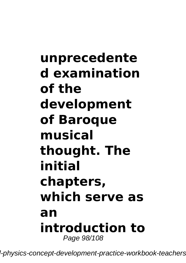# **unprecedente d examination of the development of Baroque musical thought. The initial chapters, which serve as an introduction to** Page 98/108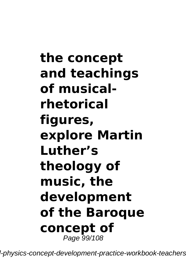# **the concept and teachings of musicalrhetorical figures, explore Martin Luther's theology of music, the development of the Baroque concept of** Page 99/108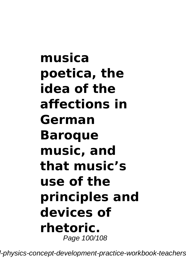# **musica poetica, the idea of the affections in German Baroque music, and that music's use of the principles and devices of rhetoric.** Page 100/108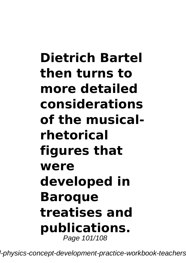# **Dietrich Bartel then turns to more detailed considerations of the musicalrhetorical figures that were developed in Baroque treatises and publications.** Page 101/108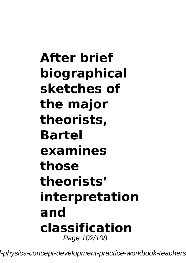# **After brief biographical sketches of the major theorists, Bartel examines those theorists' interpretation and classification** Page 102/108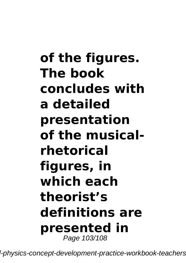# **of the figures. The book concludes with a detailed presentation of the musicalrhetorical figures, in which each theorist's definitions are presented in** Page 103/108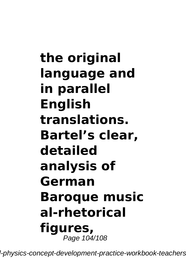**the original language and in parallel English translations. Bartel's clear, detailed analysis of German Baroque music al-rhetorical figures,** Page 104/108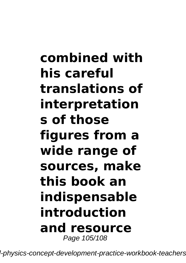# **combined with his careful translations of interpretation s of those figures from a wide range of sources, make this book an indispensable introduction and resource** Page 105/108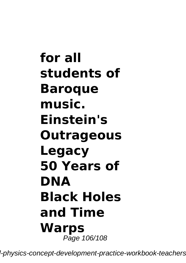**for all students of Baroque music. Einstein's Outrageous Legacy 50 Years of DNA Black Holes and Time Warps** Page 106/108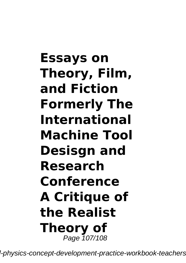# **Essays on Theory, Film, and Fiction Formerly The International Machine Tool Desisgn and Research Conference A Critique of the Realist Theory of** Page 107/108